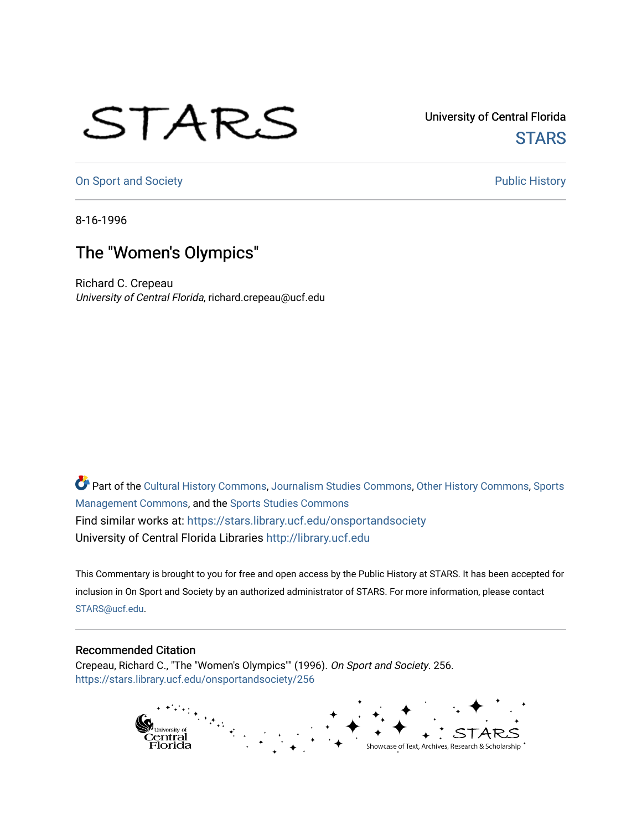## STARS

University of Central Florida **STARS** 

[On Sport and Society](https://stars.library.ucf.edu/onsportandsociety) **Public History** Public History

8-16-1996

## The "Women's Olympics"

Richard C. Crepeau University of Central Florida, richard.crepeau@ucf.edu

Part of the [Cultural History Commons](http://network.bepress.com/hgg/discipline/496?utm_source=stars.library.ucf.edu%2Fonsportandsociety%2F256&utm_medium=PDF&utm_campaign=PDFCoverPages), [Journalism Studies Commons,](http://network.bepress.com/hgg/discipline/333?utm_source=stars.library.ucf.edu%2Fonsportandsociety%2F256&utm_medium=PDF&utm_campaign=PDFCoverPages) [Other History Commons,](http://network.bepress.com/hgg/discipline/508?utm_source=stars.library.ucf.edu%2Fonsportandsociety%2F256&utm_medium=PDF&utm_campaign=PDFCoverPages) [Sports](http://network.bepress.com/hgg/discipline/1193?utm_source=stars.library.ucf.edu%2Fonsportandsociety%2F256&utm_medium=PDF&utm_campaign=PDFCoverPages) [Management Commons](http://network.bepress.com/hgg/discipline/1193?utm_source=stars.library.ucf.edu%2Fonsportandsociety%2F256&utm_medium=PDF&utm_campaign=PDFCoverPages), and the [Sports Studies Commons](http://network.bepress.com/hgg/discipline/1198?utm_source=stars.library.ucf.edu%2Fonsportandsociety%2F256&utm_medium=PDF&utm_campaign=PDFCoverPages) Find similar works at: <https://stars.library.ucf.edu/onsportandsociety> University of Central Florida Libraries [http://library.ucf.edu](http://library.ucf.edu/) 

This Commentary is brought to you for free and open access by the Public History at STARS. It has been accepted for inclusion in On Sport and Society by an authorized administrator of STARS. For more information, please contact [STARS@ucf.edu](mailto:STARS@ucf.edu).

## Recommended Citation

Crepeau, Richard C., "The "Women's Olympics"" (1996). On Sport and Society. 256. [https://stars.library.ucf.edu/onsportandsociety/256](https://stars.library.ucf.edu/onsportandsociety/256?utm_source=stars.library.ucf.edu%2Fonsportandsociety%2F256&utm_medium=PDF&utm_campaign=PDFCoverPages)

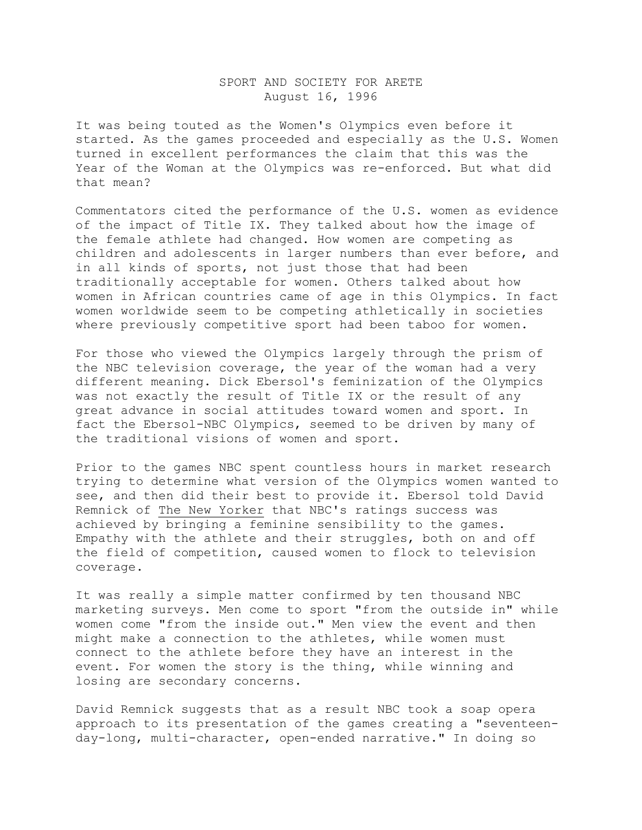## SPORT AND SOCIETY FOR ARETE August 16, 1996

It was being touted as the Women's Olympics even before it started. As the games proceeded and especially as the U.S. Women turned in excellent performances the claim that this was the Year of the Woman at the Olympics was re-enforced. But what did that mean?

Commentators cited the performance of the U.S. women as evidence of the impact of Title IX. They talked about how the image of the female athlete had changed. How women are competing as children and adolescents in larger numbers than ever before, and in all kinds of sports, not just those that had been traditionally acceptable for women. Others talked about how women in African countries came of age in this Olympics. In fact women worldwide seem to be competing athletically in societies where previously competitive sport had been taboo for women.

For those who viewed the Olympics largely through the prism of the NBC television coverage, the year of the woman had a very different meaning. Dick Ebersol's feminization of the Olympics was not exactly the result of Title IX or the result of any great advance in social attitudes toward women and sport. In fact the Ebersol-NBC Olympics, seemed to be driven by many of the traditional visions of women and sport.

Prior to the games NBC spent countless hours in market research trying to determine what version of the Olympics women wanted to see, and then did their best to provide it. Ebersol told David Remnick of The New Yorker that NBC's ratings success was achieved by bringing a feminine sensibility to the games. Empathy with the athlete and their struggles, both on and off the field of competition, caused women to flock to television coverage.

It was really a simple matter confirmed by ten thousand NBC marketing surveys. Men come to sport "from the outside in" while women come "from the inside out." Men view the event and then might make a connection to the athletes, while women must connect to the athlete before they have an interest in the event. For women the story is the thing, while winning and losing are secondary concerns.

David Remnick suggests that as a result NBC took a soap opera approach to its presentation of the games creating a "seventeenday-long, multi-character, open-ended narrative." In doing so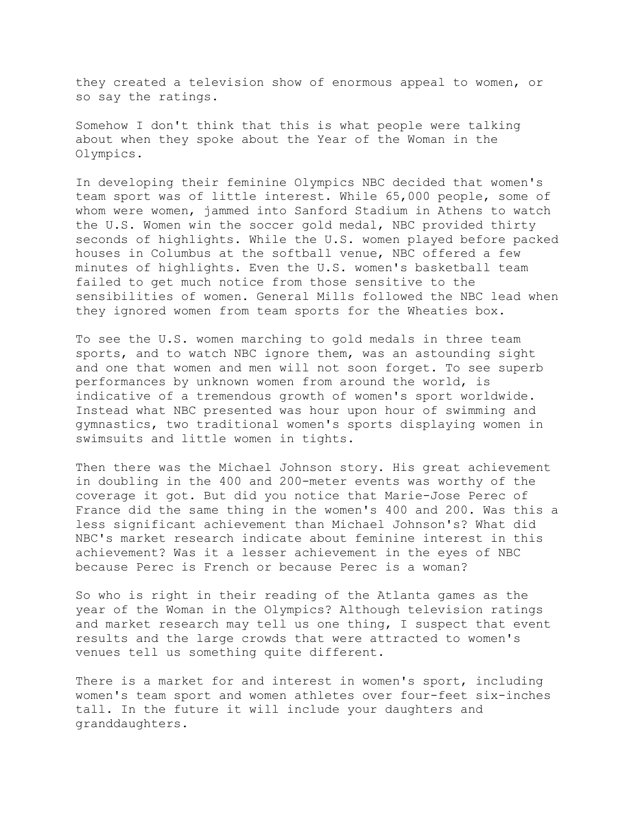they created a television show of enormous appeal to women, or so say the ratings.

Somehow I don't think that this is what people were talking about when they spoke about the Year of the Woman in the Olympics.

In developing their feminine Olympics NBC decided that women's team sport was of little interest. While 65,000 people, some of whom were women, jammed into Sanford Stadium in Athens to watch the U.S. Women win the soccer gold medal, NBC provided thirty seconds of highlights. While the U.S. women played before packed houses in Columbus at the softball venue, NBC offered a few minutes of highlights. Even the U.S. women's basketball team failed to get much notice from those sensitive to the sensibilities of women. General Mills followed the NBC lead when they ignored women from team sports for the Wheaties box.

To see the U.S. women marching to gold medals in three team sports, and to watch NBC ignore them, was an astounding sight and one that women and men will not soon forget. To see superb performances by unknown women from around the world, is indicative of a tremendous growth of women's sport worldwide. Instead what NBC presented was hour upon hour of swimming and gymnastics, two traditional women's sports displaying women in swimsuits and little women in tights.

Then there was the Michael Johnson story. His great achievement in doubling in the 400 and 200-meter events was worthy of the coverage it got. But did you notice that Marie-Jose Perec of France did the same thing in the women's 400 and 200. Was this a less significant achievement than Michael Johnson's? What did NBC's market research indicate about feminine interest in this achievement? Was it a lesser achievement in the eyes of NBC because Perec is French or because Perec is a woman?

So who is right in their reading of the Atlanta games as the year of the Woman in the Olympics? Although television ratings and market research may tell us one thing, I suspect that event results and the large crowds that were attracted to women's venues tell us something quite different.

There is a market for and interest in women's sport, including women's team sport and women athletes over four-feet six-inches tall. In the future it will include your daughters and granddaughters.